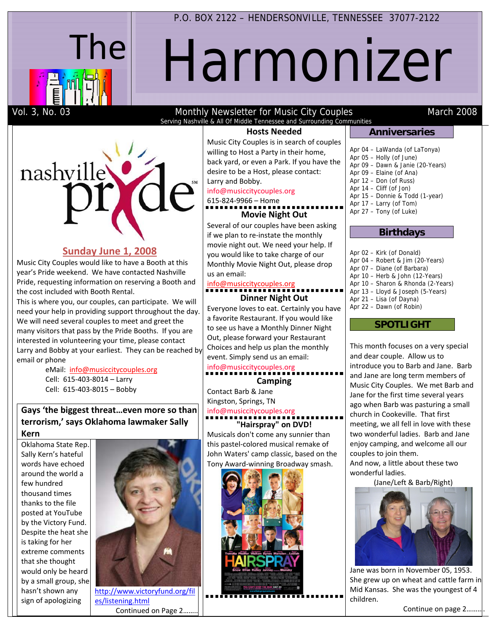

P.O. BOX 2122 – HENDERSONVILLE, TENNESSEE 37077-2122

# Harmonizer

# Vol. 3, No. 03 **Monthly Newsletter for Music City Couples** March 2008 Serving Nashville & All Of Middle Tennessee and Surrounding Communities

**Hosts Needed**

nashville Larry and Bobby. 615‐824‐9966 – Home

# **Sunday June 1, 2008**

Music City Couples would like to have a Booth at this year's Pride weekend. We have contacted Nashville Pride, requesting information on reserving a Booth and the cost included with Booth Rental.

This is where you, our couples, can participate. We will need your help in providing support throughout the day. We will need several couples to meet and greet the many visitors that pass by the Pride Booths. If you are interested in volunteering your time, please contact Larry and Bobby at your earliest. They can be reached by email or phone

> eMail: info@musiccitycouples.org Cell: 615‐403‐8014 – Larry Cell: 615‐403‐8015 – Bobby

# **Gays 'the biggest threat…even more so than terrorism,' says Oklahoma lawmaker Sally Kern**

Oklahoma State Rep. Sally Kern's hateful words have echoed around the world a few hundred thousand times thanks to the file posted at YouTube by the Victory Fund. Despite the heat she is taking for her extreme comments that she thought would only be heard by a small group, she hasn't shown any sign of apologizing



http://www.victoryfund.org/fil es/listening.html Continued on Page 2……..

Music City Couples is in search of couples willing to Host a Party in their home, back yard, or even a Park. If you have the desire to be a Host, please contact:

### info@musiccitycouples.org

# **Movie Night Out**

Several of our couples have been asking if we plan to re‐instate the monthly movie night out. We need your help. If you would like to take charge of our Monthly Movie Night Out, please drop us an email:

# info@musiccitycouples.org

# **Dinner Night Out**

Everyone loves to eat. Certainly you have a favorite Restaurant. If you would like to see us have a Monthly Dinner Night Out, please forward your Restaurant Choices and help us plan the monthly event. Simply send us an email: info@musiccitycouples.org

# **Camping**

Contact Barb & Jane Kingston, Springs, TN info@musiccitycouples.org

# **"Hairspray" on DVD!**

Musicals don't come any sunnier than this pastel‐colored musical remake of John Waters' camp classic, based on the Tony Award‐winning Broadway smash.



# **Anniversaries**

Apr 04 – LaWanda (of LaTonya) Apr 05 – Holly (of June) Apr 09 – Dawn & Janie (20-Years) Apr 09 – Elaine (of Ana) Apr 12 – Don (of Russ) Apr 14 – Cliff (of Jon) Apr 15 – Donnie & Todd (1-year) Apr 17 – Larry (of Tom) Apr 27 – Tony (of Luke)

# **Birthdays**

Apr 02 – Kirk (of Donald) Apr 04 – Robert & Jim (20-Years) Apr 07 – Diane (of Barbara) Apr 10 – Herb & John (12-Years) Apr 10 – Sharon & Rhonda (2-Years) Apr 13 – Lloyd & Joseph (5-Years) Apr 21 – Lisa (of Dayna) Apr 22 – Dawn (of Robin)

# **SPOTLIGHT**

This month focuses on a very special and dear couple. Allow us to introduce you to Barb and Jane. Barb and Jane are long term members of Music City Couples. We met Barb and Jane for the first time several years ago when Barb was pasturing a small church in Cookeville. That first meeting, we all fell in love with these two wonderful ladies. Barb and Jane enjoy camping, and welcome all our couples to join them.

And now, a little about these two wonderful ladies.

(Jane/Left & Barb/Right)



Jane was born in November 05, 1953. She grew up on wheat and cattle farm in Mid Kansas. She was the youngest of 4 children.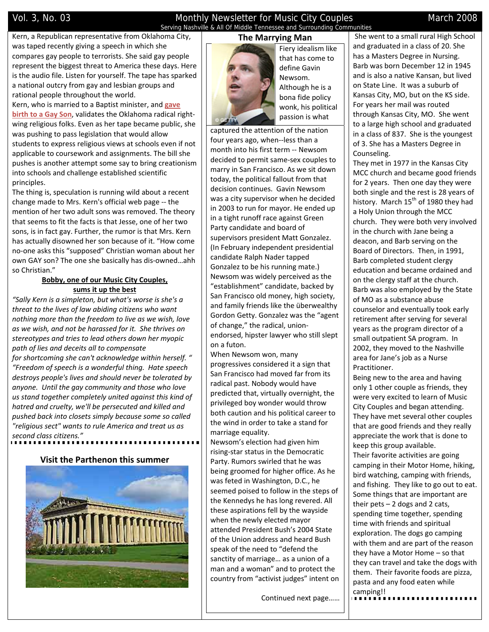# Vol. 3, No. 03 Monthly Newsletter for Music City Couples March 2008 Serving Nashville & All Of Middle Tennessee and Surrounding Communities

Kern, a Republican representative from Oklahoma City, was taped recently giving a speech in which she compares gay people to terrorists. She said gay people represent the biggest threat to America these days. Here is the audio file. Listen for yourself. The tape has sparked a national outcry from gay and lesbian groups and rational people throughout the world.

Kern, who is married to a Baptist minister, and **gave birth to a Gay Son**, validates the Oklahoma radical right‐ wing religious folks. Even as her tape became public, she was pushing to pass legislation that would allow students to express religious views at schools even if not applicable to coursework and assignments. The bill she pushes is another attempt some say to bring creationism into schools and challenge established scientific principles.

The thing is, speculation is running wild about a recent change made to Mrs. Kern's official web page ‐‐ the mention of her two adult sons was removed. The theory that seems to fit the facts is that Jesse, one of her two sons, is in fact gay. Further, the rumor is that Mrs. Kern has actually disowned her son because of it. "How come no‐one asks this "supposed" Christian woman about her own GAY son? The one she basically has dis‐owned…ahh so Christian."

# **Bobby, one of our Music City Couples, sums it up the best**

*"Sally Kern is a simpleton, but what's worse is she's a threat to the lives of law abiding citizens who want nothing more than the freedom to live as we wish, love as we wish, and not be harassed for it. She thrives on stereotypes and tries to lead others down her myopic path of lies and deceits all to compensate for shortcoming she can't acknowledge within herself. " "Freedom of speech is a wonderful thing. Hate speech destroys people's lives and should never be tolerated by anyone. Until the gay community and those who love us stand together completely united against this kind of hatred and cruelty, we'll be persecuted and killed and pushed back into closets simply because some so called "religious sect" wants to rule America and treat us as second class citizens."*

# **Visit the Parthenon this summer**



**The Marrying Man**



Fiery idealism like that has come to define Gavin Newsom. Although he is a bona fide policy wonk, his political passion is what

captured the attention of the nation four years ago, when‐‐less than a month into his first term ‐‐ Newsom decided to permit same‐sex couples to marry in San Francisco. As we sit down today, the political fallout from that decision continues. Gavin Newsom was a city supervisor when he decided in 2003 to run for mayor. He ended up in a tight runoff race against Green Party candidate and board of supervisors president Matt Gonzalez. (In February independent presidential candidate Ralph Nader tapped Gonzalez to be his running mate.) Newsom was widely perceived as the "establishment" candidate, backed by San Francisco old money, high society, and family friends like the überwealthy Gordon Getty. Gonzalez was the "agent of change," the radical, union‐ endorsed, hipster lawyer who still slept on a futon.

When Newsom won, many progressives considered it a sign that San Francisco had moved far from its radical past. Nobody would have predicted that, virtually overnight, the privileged boy wonder would throw both caution and his political career to the wind in order to take a stand for marriage equality.

Newsom's election had given him rising‐star status in the Democratic Party. Rumors swirled that he was being groomed for higher office. As he was feted in Washington, D.C., he seemed poised to follow in the steps of the Kennedys he has long revered. All these aspirations fell by the wayside when the newly elected mayor attended President Bush's 2004 State of the Union address and heard Bush speak of the need to "defend the sanctity of marriage… as a union of a man and a woman" and to protect the country from "activist judges" intent on

Continued next page……

She went to a small rural High School and graduated in a class of 20. She has a Masters Degree in Nursing. Barb was born December 12 in 1945 and is also a native Kansan, but lived on State Line. It was a suburb of Kansas City, MO, but on the KS side. For years her mail was routed through Kansas City, MO. She went to a large high school and graduated in a class of 837. She is the youngest of 3. She has a Masters Degree in Counseling.

They met in 1977 in the Kansas City MCC church and became good friends for 2 years. Then one day they were both single and the rest is 28 years of history. March 15<sup>th</sup> of 1980 they had a Holy Union through the MCC church. They were both very involved in the church with Jane being a deacon, and Barb serving on the Board of Directors. Then, in 1991, Barb completed student clergy education and became ordained and on the clergy staff at the church. Barb was also employed by the State of MO as a substance abuse counselor and eventually took early retirement after serving for several years as the program director of a small outpatient SA program. In 2002, they moved to the Nashville area for Jane's job as a Nurse Practitioner.

Being new to the area and having only 1 other couple as friends, they were very excited to learn of Music City Couples and began attending. They have met several other couples that are good friends and they really appreciate the work that is done to keep this group available. Their favorite activities are going camping in their Motor Home, hiking, bird watching, camping with friends, and fishing. They like to go out to eat. Some things that are important are their pets – 2 dogs and 2 cats, spending time together, spending time with friends and spiritual exploration. The dogs go camping with them and are part of the reason they have a Motor Home – so that they can travel and take the dogs with them. Their favorite foods are pizza, pasta and any food eaten while camping!!<br><u>••••••••••••••••••••••••••••</u>••